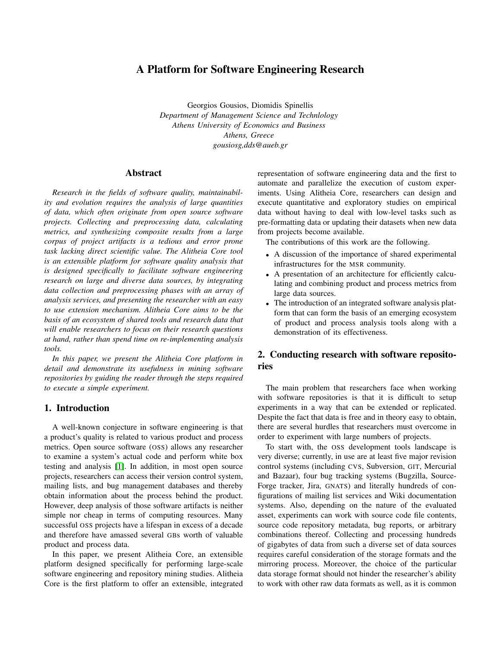# A Platform for Software Engineering Research

Georgios Gousios, Diomidis Spinellis *Department of Management Science and Technlology Athens University of Economics and Business Athens, Greece gousiosg,dds@aueb.gr*

#### Abstract

*Research in the fields of software quality, maintainability and evolution requires the analysis of large quantities of data, which often originate from open source software projects. Collecting and preprocessing data, calculating metrics, and synthesizing composite results from a large corpus of project artifacts is a tedious and error prone task lacking direct scientific value. The Alitheia Core tool is an extensible platform for software quality analysis that is designed specifically to facilitate software engineering research on large and diverse data sources, by integrating data collection and preprocessing phases with an array of analysis services, and presenting the researcher with an easy to use extension mechanism. Alitheia Core aims to be the basis of an ecosystem of shared tools and research data that will enable researchers to focus on their research questions at hand, rather than spend time on re-implementing analysis tools.*

*In this paper, we present the Alitheia Core platform in detail and demonstrate its usefulness in mining software repositories by guiding the reader through the steps required to execute a simple experiment.*

#### 1. Introduction

A well-known conjecture in software engineering is that a product's quality is related to various product and process metrics. Open source software (OSS) allows any researcher to examine a system's actual code and perform white box testing and analysis [\[1\]](#page-8-0). In addition, in most open source projects, researchers can access their version control system, mailing lists, and bug management databases and thereby obtain information about the process behind the product. However, deep analysis of those software artifacts is neither simple nor cheap in terms of computing resources. Many successful OSS projects have a lifespan in excess of a decade and therefore have amassed several GBs worth of valuable product and process data.

In this paper, we present Alitheia Core, an extensible platform designed specifically for performing large-scale software engineering and repository mining studies. Alitheia Core is the first platform to offer an extensible, integrated representation of software engineering data and the first to automate and parallelize the execution of custom experiments. Using Alitheia Core, researchers can design and execute quantitative and exploratory studies on empirical data without having to deal with low-level tasks such as pre-formatting data or updating their datasets when new data from projects become available.

The contributions of this work are the following.

- A discussion of the importance of shared experimental infrastructures for the MSR community.
- A presentation of an architecture for efficiently calculating and combining product and process metrics from large data sources.
- The introduction of an integrated software analysis platform that can form the basis of an emerging ecosystem of product and process analysis tools along with a demonstration of its effectiveness.

# 2. Conducting research with software repositories

The main problem that researchers face when working with software repositories is that it is difficult to setup experiments in a way that can be extended or replicated. Despite the fact that data is free and in theory easy to obtain, there are several hurdles that researchers must overcome in order to experiment with large numbers of projects.

To start with, the OSS development tools landscape is very diverse; currently, in use are at least five major revision control systems (including CVS, Subversion, GIT, Mercurial and Bazaar), four bug tracking systems (Bugzilla, Source-Forge tracker, Jira, GNATS) and literally hundreds of configurations of mailing list services and Wiki documentation systems. Also, depending on the nature of the evaluated asset, experiments can work with source code file contents, source code repository metadata, bug reports, or arbitrary combinations thereof. Collecting and processing hundreds of gigabytes of data from such a diverse set of data sources requires careful consideration of the storage formats and the mirroring process. Moreover, the choice of the particular data storage format should not hinder the researcher's ability to work with other raw data formats as well, as it is common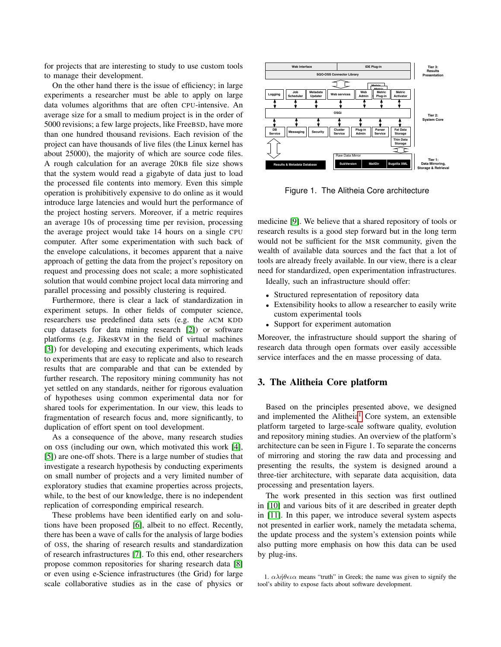for projects that are interesting to study to use custom tools to manage their development.

On the other hand there is the issue of efficiency; in large experiments a researcher must be able to apply on large data volumes algorithms that are often CPU-intensive. An average size for a small to medium project is in the order of 5000 revisions; a few large projects, like FreeBSD, have more than one hundred thousand revisions. Each revision of the project can have thousands of live files (the Linux kernel has about 25000), the majority of which are source code files. A rough calculation for an average 20KB file size shows that the system would read a gigabyte of data just to load the processed file contents into memory. Even this simple operation is prohibitively expensive to do online as it would introduce large latencies and would hurt the performance of the project hosting servers. Moreover, if a metric requires an average 10s of processing time per revision, processing the average project would take 14 hours on a single CPU computer. After some experimentation with such back of the envelope calculations, it becomes apparent that a naive approach of getting the data from the project's repository on request and processing does not scale; a more sophisticated solution that would combine project local data mirroring and parallel processing and possibly clustering is required.

Furthermore, there is clear a lack of standardization in experiment setups. In other fields of computer science, researchers use predefined data sets (e.g. the ACM KDD cup datasets for data mining research [\[2\]](#page-8-1)) or software platforms (e.g. JikesRVM in the field of virtual machines [\[3\]](#page-8-2)) for developing and executing experiments, which leads to experiments that are easy to replicate and also to research results that are comparable and that can be extended by further research. The repository mining community has not yet settled on any standards, neither for rigorous evaluation of hypotheses using common experimental data nor for shared tools for experimentation. In our view, this leads to fragmentation of research focus and, more significantly, to duplication of effort spent on tool development.

As a consequence of the above, many research studies on OSS (including our own, which motivated this work [\[4\]](#page-8-3), [\[5\]](#page-8-4)) are one-off shots. There is a large number of studies that investigate a research hypothesis by conducting experiments on small number of projects and a very limited number of exploratory studies that examine properties across projects, while, to the best of our knowledge, there is no independent replication of corresponding empirical research.

These problems have been identified early on and solutions have been proposed [\[6\]](#page-9-0), albeit to no effect. Recently, there has been a wave of calls for the analysis of large bodies of OSS, the sharing of research results and standardization of research infrastructures [\[7\]](#page-9-1). To this end, other researchers propose common repositories for sharing research data [\[8\]](#page-9-2) or even using e-Science infrastructures (the Grid) for large scale collaborative studies as in the case of physics or



Figure 1. The Alitheia Core architecture

medicine [\[9\]](#page-9-3). We believe that a shared repository of tools or research results is a good step forward but in the long term would not be sufficient for the MSR community, given the wealth of available data sources and the fact that a lot of tools are already freely available. In our view, there is a clear need for standardized, open experimentation infrastructures.

Ideally, such an infrastructure should offer:

- Structured representation of repository data
- Extensibility hooks to allow a researcher to easily write custom experimental tools
- Support for experiment automation

Moreover, the infrastructure should support the sharing of research data through open formats over easily accessible service interfaces and the en masse processing of data.

# 3. The Alitheia Core platform

Based on the principles presented above, we designed and implemented the Alitheia<sup>[1](#page-1-0)</sup> Core system, an extensible platform targeted to large-scale software quality, evolution and repository mining studies. An overview of the platform's architecture can be seen in Figure 1. To separate the concerns of mirroring and storing the raw data and processing and presenting the results, the system is designed around a three-tier architecture, with separate data acquisition, data processing and presentation layers.

The work presented in this section was first outlined in [\[10\]](#page-9-4) and various bits of it are described in greater depth in [\[11\]](#page-9-5). In this paper, we introduce several system aspects not presented in earlier work, namely the metadata schema, the update process and the system's extension points while also putting more emphasis on how this data can be used by plug-ins.

<span id="page-1-0"></span><sup>1.</sup>  $\alpha \lambda \eta \theta \epsilon \iota \alpha$  means "truth" in Greek; the name was given to signify the tool's ability to expose facts about software development.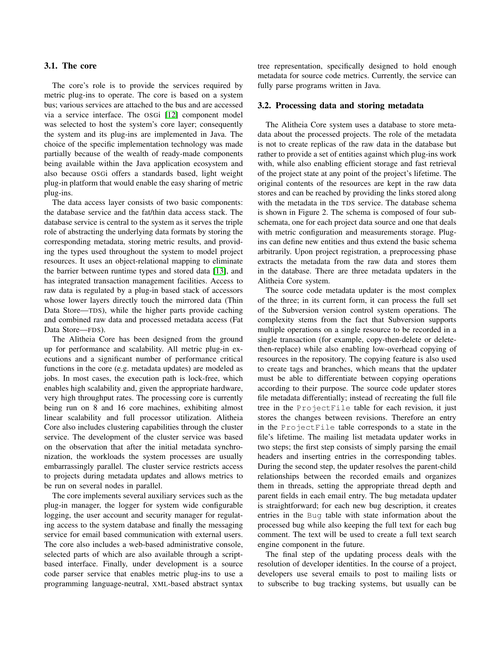#### 3.1. The core

The core's role is to provide the services required by metric plug-ins to operate. The core is based on a system bus; various services are attached to the bus and are accessed via a service interface. The OSGi [\[12\]](#page-9-6) component model was selected to host the system's core layer; consequently the system and its plug-ins are implemented in Java. The choice of the specific implementation technology was made partially because of the wealth of ready-made components being available within the Java application ecosystem and also because OSGi offers a standards based, light weight plug-in platform that would enable the easy sharing of metric plug-ins.

The data access layer consists of two basic components: the database service and the fat/thin data access stack. The database service is central to the system as it serves the triple role of abstracting the underlying data formats by storing the corresponding metadata, storing metric results, and providing the types used throughout the system to model project resources. It uses an object-relational mapping to eliminate the barrier between runtime types and stored data [\[13\]](#page-9-7), and has integrated transaction management facilities. Access to raw data is regulated by a plug-in based stack of accessors whose lower layers directly touch the mirrored data (Thin Data Store—TDS), while the higher parts provide caching and combined raw data and processed metadata access (Fat Data Store—FDS).

The Alitheia Core has been designed from the ground up for performance and scalability. All metric plug-in executions and a significant number of performance critical functions in the core (e.g. metadata updates) are modeled as jobs. In most cases, the execution path is lock-free, which enables high scalability and, given the appropriate hardware, very high throughput rates. The processing core is currently being run on 8 and 16 core machines, exhibiting almost linear scalability and full processor utilization. Alitheia Core also includes clustering capabilities through the cluster service. The development of the cluster service was based on the observation that after the initial metadata synchronization, the workloads the system processes are usually embarrassingly parallel. The cluster service restricts access to projects during metadata updates and allows metrics to be run on several nodes in parallel.

The core implements several auxiliary services such as the plug-in manager, the logger for system wide configurable logging, the user account and security manager for regulating access to the system database and finally the messaging service for email based communication with external users. The core also includes a web-based administrative console, selected parts of which are also available through a scriptbased interface. Finally, under development is a source code parser service that enables metric plug-ins to use a programming language-neutral, XML-based abstract syntax tree representation, specifically designed to hold enough metadata for source code metrics. Currently, the service can fully parse programs written in Java.

#### 3.2. Processing data and storing metadata

The Alitheia Core system uses a database to store metadata about the processed projects. The role of the metadata is not to create replicas of the raw data in the database but rather to provide a set of entities against which plug-ins work with, while also enabling efficient storage and fast retrieval of the project state at any point of the project's lifetime. The original contents of the resources are kept in the raw data stores and can be reached by providing the links stored along with the metadata in the TDS service. The database schema is shown in Figure 2. The schema is composed of four subschemata, one for each project data source and one that deals with metric configuration and measurements storage. Plugins can define new entities and thus extend the basic schema arbitrarily. Upon project registration, a preprocessing phase extracts the metadata from the raw data and stores them in the database. There are three metadata updaters in the Alitheia Core system.

The source code metadata updater is the most complex of the three; in its current form, it can process the full set of the Subversion version control system operations. The complexity stems from the fact that Subversion supports multiple operations on a single resource to be recorded in a single transaction (for example, copy-then-delete or deletethen-replace) while also enabling low-overhead copying of resources in the repository. The copying feature is also used to create tags and branches, which means that the updater must be able to differentiate between copying operations according to their purpose. The source code updater stores file metadata differentially; instead of recreating the full file tree in the ProjectFile table for each revision, it just stores the changes between revisions. Therefore an entry in the ProjectFile table corresponds to a state in the file's lifetime. The mailing list metadata updater works in two steps; the first step consists of simply parsing the email headers and inserting entries in the corresponding tables. During the second step, the updater resolves the parent-child relationships between the recorded emails and organizes them in threads, setting the appropriate thread depth and parent fields in each email entry. The bug metadata updater is straightforward; for each new bug description, it creates entries in the Bug table with state information about the processed bug while also keeping the full text for each bug comment. The text will be used to create a full text search engine component in the future.

The final step of the updating process deals with the resolution of developer identities. In the course of a project, developers use several emails to post to mailing lists or to subscribe to bug tracking systems, but usually can be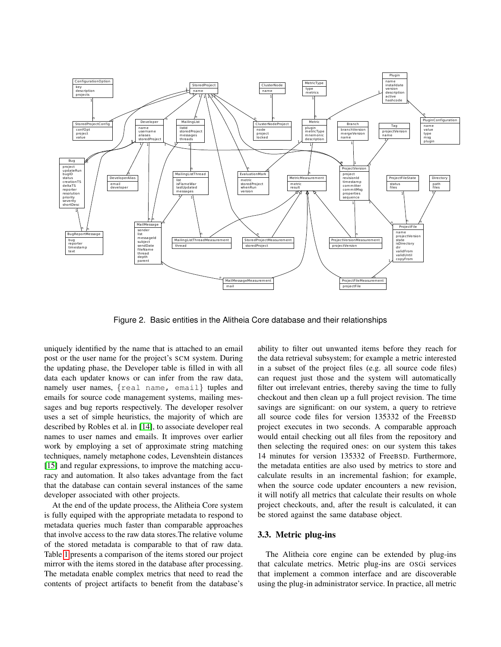

Figure 2. Basic entities in the Alitheia Core database and their relationships

uniquely identified by the name that is attached to an email post or the user name for the project's SCM system. During the updating phase, the Developer table is filled in with all data each updater knows or can infer from the raw data, namely user names, {real name, email} tuples and emails for source code management systems, mailing messages and bug reports respectively. The developer resolver uses a set of simple heuristics, the majority of which are described by Robles et al. in [\[14\]](#page-9-8), to associate developer real names to user names and emails. It improves over earlier work by employing a set of approximate string matching techniques, namely metaphone codes, Levenshtein distances [\[15\]](#page-9-9) and regular expressions, to improve the matching accuracy and automation. It also takes advantage from the fact that the database can contain several instances of the same developer associated with other projects.

At the end of the update process, the Alitheia Core system is fully equiped with the appropriate metadata to respond to metadata queries much faster than comparable approaches that involve access to the raw data stores.The relative volume of the stored metadata is comparable to that of raw data. Table [1](#page-4-0) presents a comparison of the items stored our project mirror with the items stored in the database after processing. The metadata enable complex metrics that need to read the contents of project artifacts to benefit from the database's ability to filter out unwanted items before they reach for the data retrieval subsystem; for example a metric interested in a subset of the project files (e.g. all source code files) can request just those and the system will automatically filter out irrelevant entries, thereby saving the time to fully checkout and then clean up a full project revision. The time savings are significant: on our system, a query to retrieve all source code files for version 135332 of the FreeBSD project executes in two seconds. A comparable approach would entail checking out all files from the repository and then selecting the required ones: on our system this takes 14 minutes for version 135332 of FreeBSD. Furthermore, the metadata entities are also used by metrics to store and calculate results in an incremental fashion; for example, when the source code updater encounters a new revision, it will notify all metrics that calculate their results on whole project checkouts, and, after the result is calculated, it can be stored against the same database object.

### 3.3. Metric plug-ins

The Alitheia core engine can be extended by plug-ins that calculate metrics. Metric plug-ins are OSGi services that implement a common interface and are discoverable using the plug-in administrator service. In practice, all metric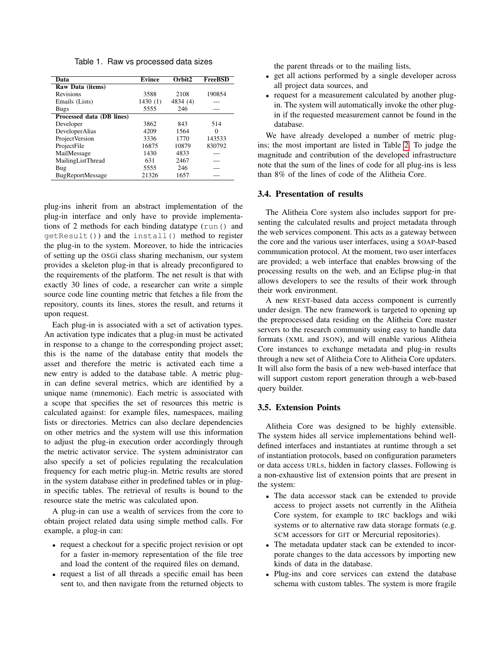<span id="page-4-0"></span>Table 1. Raw vs processed data sizes

| Data                      | Evince  | Orbit2   | <b>FreeBSD</b> |
|---------------------------|---------|----------|----------------|
| Raw Data (items)          |         |          |                |
| <b>Revisions</b>          | 3588    | 2108     | 190854         |
| Emails (Lists)            | 1430(1) | 4834 (4) |                |
| Bugs                      | 5555    | 246      |                |
| Processed data (DB lines) |         |          |                |
| Developer                 | 3862    | 843      | 514            |
| DeveloperAlias            | 4209    | 1564     | 0              |
| ProjectVersion            | 3336    | 1770     | 143533         |
| ProjectFile               | 16875   | 10879    | 830792         |
| MailMessage               | 1430    | 4833     |                |
| MailingListThread         | 631     | 2467     |                |
| Bug                       | 5555    | 246      |                |
| <b>BugReportMessage</b>   | 21326   | 1657     |                |

plug-ins inherit from an abstract implementation of the plug-in interface and only have to provide implementations of 2 methods for each binding datatype (run() and getResult()) and the install() method to register the plug-in to the system. Moreover, to hide the intricacies of setting up the OSGi class sharing mechanism, our system provides a skeleton plug-in that is already preconfigured to the requirements of the platform. The net result is that with exactly 30 lines of code, a researcher can write a simple source code line counting metric that fetches a file from the repository, counts its lines, stores the result, and returns it upon request.

Each plug-in is associated with a set of activation types. An activation type indicates that a plug-in must be activated in response to a change to the corresponding project asset; this is the name of the database entity that models the asset and therefore the metric is activated each time a new entry is added to the database table. A metric plugin can define several metrics, which are identified by a unique name (mnemonic). Each metric is associated with a scope that specifies the set of resources this metric is calculated against: for example files, namespaces, mailing lists or directories. Metrics can also declare dependencies on other metrics and the system will use this information to adjust the plug-in execution order accordingly through the metric activator service. The system administrator can also specify a set of policies regulating the recalculation frequency for each metric plug-in. Metric results are stored in the system database either in predefined tables or in plugin specific tables. The retrieval of results is bound to the resource state the metric was calculated upon.

A plug-in can use a wealth of services from the core to obtain project related data using simple method calls. For example, a plug-in can:

- request a checkout for a specific project revision or opt for a faster in-memory representation of the file tree and load the content of the required files on demand,
- request a list of all threads a specific email has been sent to, and then navigate from the returned objects to

the parent threads or to the mailing lists,

- get all actions performed by a single developer across all project data sources, and
- request for a measurement calculated by another plugin. The system will automatically invoke the other plugin if the requested measurement cannot be found in the database.

We have already developed a number of metric plugins; the most important are listed in Table [2.](#page-5-0) To judge the magnitude and contribution of the developed infrastructure note that the sum of the lines of code for all plug-ins is less than 8% of the lines of code of the Alitheia Core.

### 3.4. Presentation of results

The Alitheia Core system also includes support for presenting the calculated results and project metadata through the web services component. This acts as a gateway between the core and the various user interfaces, using a SOAP-based communication protocol. At the moment, two user interfaces are provided; a web interface that enables browsing of the processing results on the web, and an Eclipse plug-in that allows developers to see the results of their work through their work environment.

A new REST-based data access component is currently under design. The new framework is targeted to opening up the preprocessed data residing on the Alitheia Core master servers to the research community using easy to handle data formats (XML and JSON), and will enable various Alitheia Core instances to exchange metadata and plug-in results through a new set of Alitheia Core to Alitheia Core updaters. It will also form the basis of a new web-based interface that will support custom report generation through a web-based query builder.

#### 3.5. Extension Points

Alitheia Core was designed to be highly extensible. The system hides all service implementations behind welldefined interfaces and instantiates at runtime through a set of instantiation protocols, based on configuration parameters or data access URLs, hidden in factory classes. Following is a non-exhaustive list of extension points that are present in the system:

- The data accessor stack can be extended to provide access to project assets not currently in the Alitheia Core system, for example to IRC backlogs and wiki systems or to alternative raw data storage formats (e.g. SCM accessors for GIT or Mercurial repositories).
- The metadata updater stack can be extended to incorporate changes to the data accessors by importing new kinds of data in the database.
- Plug-ins and core services can extend the database schema with custom tables. The system is more fragile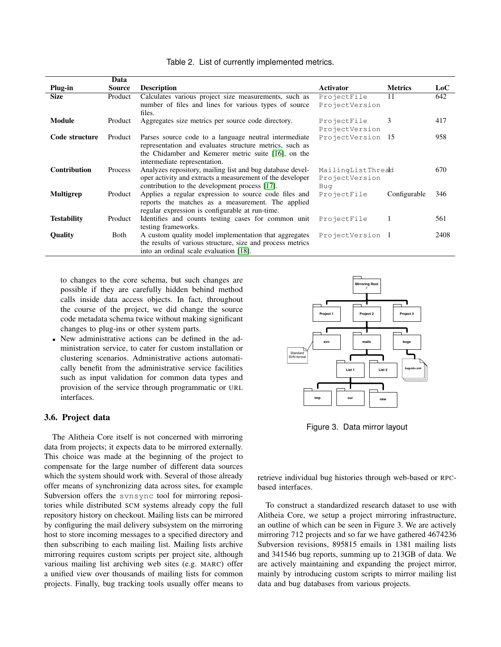|                     | Data          |                                                                                                                                                                                                         |                                             |                |      |
|---------------------|---------------|---------------------------------------------------------------------------------------------------------------------------------------------------------------------------------------------------------|---------------------------------------------|----------------|------|
| Plug-in             | <b>Source</b> | <b>Description</b>                                                                                                                                                                                      | <b>Activator</b>                            | <b>Metrics</b> | LoC  |
| <b>Size</b>         | Product       | Calculates various project size measurements, such as                                                                                                                                                   | ProjectFile                                 | 11             | 642  |
|                     |               | number of files and lines for various types of source<br>files.                                                                                                                                         | ProjectVersion                              |                |      |
| Module              | Product       | Aggregates size metrics per source code directory.                                                                                                                                                      | ProjectFile<br>ProjectVersion               | 3              | 417  |
| Code structure      | Product       | Parses source code to a language neutral intermediate<br>representation and evaluates structure metrics, such as<br>the Chidamber and Kemerer metric suite [16], on the<br>intermediate representation. | ProjectVersion 15                           |                | 958  |
| <b>Contribution</b> | Process       | Analyzes repository, mailing list and bug database devel-<br>oper activity and extracts a measurement of the developer<br>contribution to the development process [17].                                 | MailingListThreald<br>ProjectVersion<br>Bug |                | 670  |
| <b>Multigrep</b>    | Product       | Applies a regular expression to source code files and<br>reports the matches as a measurement. The applied<br>regular expression is configurable at run-time.                                           | ProjectFile                                 | Configurable   | 346  |
| <b>Testability</b>  | Product       | Identifies and counts testing cases for common unit<br>testing frameworks.                                                                                                                              | ProjectFile                                 |                | 561  |
| <b>Quality</b>      | Both          | A custom quality model implementation that aggregates<br>the results of various structure, size and process metrics<br>into an ordinal scale evaluation [18].                                           | ProjectVersion 1                            |                | 2408 |

<span id="page-5-0"></span>Table 2. List of currently implemented metrics.

to changes to the core schema, but such changes are possible if they are carefully hidden behind method calls inside data access objects. In fact, throughout the course of the project, we did change the source code metadata schema twice without making significant changes to plug-ins or other system parts.

• New administrative actions can be defined in the administration service, to cater for custom installation or clustering scenarios. Administrative actions automatically benefit from the administrative service facilities such as input validation for common data types and provision of the service through programmatic or URL interfaces.

#### 3.6. Project data

The Alitheia Core itself is not concerned with mirroring data from projects; it expects data to be mirrored externally. This choice was made at the beginning of the project to compensate for the large number of different data sources which the system should work with. Several of those already offer means of synchronizing data across sites, for example Subversion offers the svnsync tool for mirroring repositories while distributed SCM systems already copy the full repository history on checkout. Mailing lists can be mirrored by configuring the mail delivery subsystem on the mirroring host to store incoming messages to a specified directory and then subscribing to each mailing list. Mailing lists archive mirroring requires custom scripts per project site, although various mailing list archiving web sites (e.g. MARC) offer a unified view over thousands of mailing lists for common projects. Finally, bug tracking tools usually offer means to



Figure 3. Data mirror layout

retrieve individual bug histories through web-based or RPCbased interfaces.

To construct a standardized research dataset to use with Alitheia Core, we setup a project mirroring infrastructure, an outline of which can be seen in Figure 3. We are actively mirroring 712 projects and so far we have gathered 4674236 Subversion revisions, 895815 emails in 1381 mailing lists and 341546 bug reports, summing up to 213GB of data. We are actively maintaining and expanding the project mirror, mainly by introducing custom scripts to mirror mailing list data and bug databases from various projects.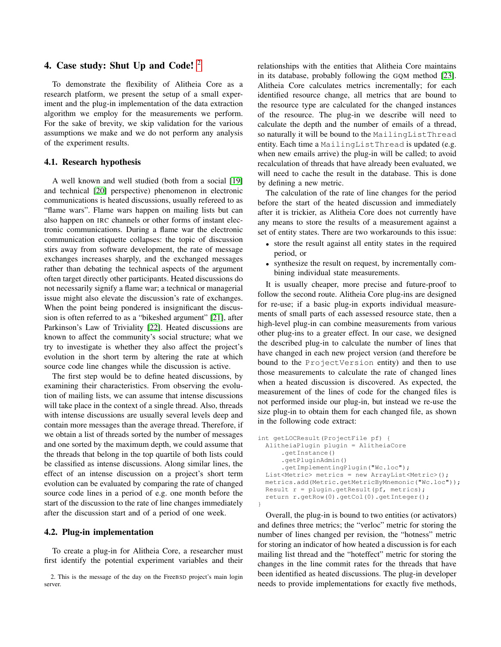# 4. Case study: Shut Up and Code! [2](#page-6-0)

To demonstrate the flexibility of Alitheia Core as a research platform, we present the setup of a small experiment and the plug-in implementation of the data extraction algorithm we employ for the measurements we perform. For the sake of brevity, we skip validation for the various assumptions we make and we do not perform any analysis of the experiment results.

# 4.1. Research hypothesis

A well known and well studied (both from a social [\[19\]](#page-9-13) and technical [\[20\]](#page-9-14) perspective) phenomenon in electronic communications is heated discussions, usually refereed to as "flame wars". Flame wars happen on mailing lists but can also happen on IRC channels or other forms of instant electronic communications. During a flame war the electronic communication etiquette collapses: the topic of discussion stirs away from software development, the rate of message exchanges increases sharply, and the exchanged messages rather than debating the technical aspects of the argument often target directly other participants. Heated discussions do not necessarily signify a flame war; a technical or managerial issue might also elevate the discussion's rate of exchanges. When the point being pondered is insignificant the discussion is often referred to as a "bikeshed argument" [\[21\]](#page-9-15), after Parkinson's Law of Triviality [\[22\]](#page-9-16). Heated discussions are known to affect the community's social structure; what we try to investigate is whether they also affect the project's evolution in the short term by altering the rate at which source code line changes while the discussion is active.

The first step would be to define heated discussions, by examining their characteristics. From observing the evolution of mailing lists, we can assume that intense discussions will take place in the context of a single thread. Also, threads with intense discussions are usually several levels deep and contain more messages than the average thread. Therefore, if we obtain a list of threads sorted by the number of messages and one sorted by the maximum depth, we could assume that the threads that belong in the top quartile of both lists could be classified as intense discussions. Along similar lines, the effect of an intense discussion on a project's short term evolution can be evaluated by comparing the rate of changed source code lines in a period of e.g. one month before the start of the discussion to the rate of line changes immediately after the discussion start and of a period of one week.

#### 4.2. Plug-in implementation

To create a plug-in for Alitheia Core, a researcher must first identify the potential experiment variables and their relationships with the entities that Alitheia Core maintains in its database, probably following the GQM method [\[23\]](#page-9-17). Alitheia Core calculates metrics incrementally; for each identified resource change, all metrics that are bound to the resource type are calculated for the changed instances of the resource. The plug-in we describe will need to calculate the depth and the number of emails of a thread, so naturally it will be bound to the MailingListThread entity. Each time a MailingListThread is updated (e.g. when new emails arrive) the plug-in will be called; to avoid recalculation of threads that have already been evaluated, we will need to cache the result in the database. This is done by defining a new metric.

The calculation of the rate of line changes for the period before the start of the heated discussion and immediately after it is trickier, as Alitheia Core does not currently have any means to store the results of a measurement against a set of entity states. There are two workarounds to this issue:

- store the result against all entity states in the required period, or
- synthesize the result on request, by incrementally combining individual state measurements.

It is usually cheaper, more precise and future-proof to follow the second route. Alitheia Core plug-ins are designed for re-use; if a basic plug-in exports individual measurements of small parts of each assessed resource state, then a high-level plug-in can combine measurements from various other plug-ins to a greater effect. In our case, we designed the described plug-in to calculate the number of lines that have changed in each new project version (and therefore be bound to the ProjectVersion entity) and then to use those measurements to calculate the rate of changed lines when a heated discussion is discovered. As expected, the measurement of the lines of code for the changed files is not performed inside our plug-in, but instead we re-use the size plug-in to obtain them for each changed file, as shown in the following code extract:

```
int getLOCResult(ProjectFile pf) {
  AlitheiaPlugin plugin = AlitheiaCore
      .getInstance()
      .getPluginAdmin()
      .getImplementingPlugin("Wc.loc");
  List<Metric> metrics = new ArrayList<Metric>();
  metrics.add(Metric.getMetricByMnemonic("Wc.loc"));
  Result r = plugin.getResult(pf, metrics);
  return r.getRow(0).getCol(0).getInteger();
}
```
Overall, the plug-in is bound to two entities (or activators) and defines three metrics; the "verloc" metric for storing the number of lines changed per revision, the "hotness" metric for storing an indicator of how heated a discussion is for each mailing list thread and the "hoteffect" metric for storing the changes in the line commit rates for the threads that have been identified as heated discussions. The plug-in developer needs to provide implementations for exactly five methods,

<span id="page-6-0"></span><sup>2.</sup> This is the message of the day on the FreeBSD project's main login server.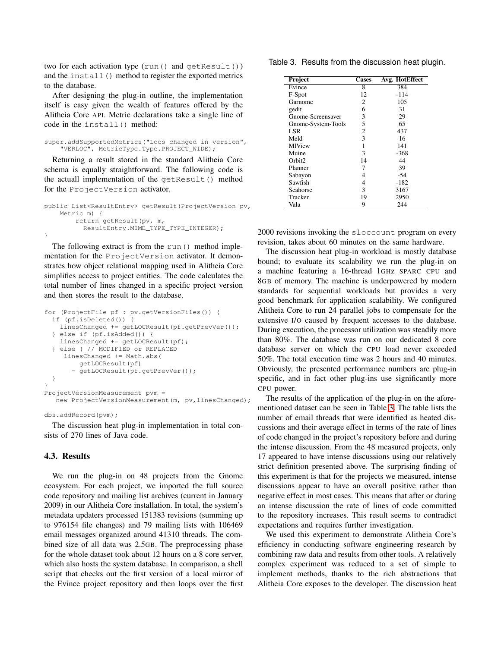two for each activation type (run() and getResult()) and the install () method to register the exported metrics to the database.

After designing the plug-in outline, the implementation itself is easy given the wealth of features offered by the Alitheia Core API. Metric declarations take a single line of code in the install() method:

```
super.addSupportedMetrics("Locs changed in version",
    "VERLOC", MetricType.Type.PROJECT_WIDE);
```
Returning a result stored in the standard Alitheia Core schema is equally straightforward. The following code is the actuall implementation of the getResult() method for the ProjectVersion activator.

```
public List<ResultEntry> getResult(ProjectVersion pv,
   Metric m) {
        return getResult(pv, m,
          ResultEntry.MIME_TYPE_TYPE_INTEGER);
}
```
The following extract is from the run() method implementation for the ProjectVersion activator. It demonstrates how object relational mapping used in Alitheia Core simplifies access to project entities. The code calculates the total number of lines changed in a specific project version and then stores the result to the database.

```
for (ProjectFile pf : pv.getVersionFiles()) {
 if (pf.isDeleted()) {
    linesChanged += getLOCResult(pf.getPrevVer());
  } else if (pf.isAdded()) {
    linesChanged += getLOCResult(pf);
  } else { // MODIFIED or REPLACED
     linesChanged += Math.abs(
         getLOCResult(pf)
       - getLOCResult(pf.getPrevVer());
  }
}
ProjectVersionMeasurement pvm =
   new ProjectVersionMeasurement(m, pv, linesChanged);
```
#### dbs.addRecord(pvm);

The discussion heat plug-in implementation in total consists of 270 lines of Java code.

### 4.3. Results

We run the plug-in on 48 projects from the Gnome ecosystem. For each project, we imported the full source code repository and mailing list archives (current in January 2009) in our Alitheia Core installation. In total, the system's metadata updaters processed 151383 revisions (summing up to 976154 file changes) and 79 mailing lists with 106469 email messages organized around 41310 threads. The combined size of all data was 2.5GB. The preprocessing phase for the whole dataset took about 12 hours on a 8 core server, which also hosts the system database. In comparison, a shell script that checks out the first version of a local mirror of the Evince project repository and then loops over the first Table 3. Results from the discussion heat plugin.

<span id="page-7-0"></span>

| Project            | <b>Cases</b>   | Avg. HotEffect |
|--------------------|----------------|----------------|
| Evince             | 8              | 384            |
| F-Spot             | 12             | $-114$         |
| Garnome            | $\overline{c}$ | 105            |
| gedit              | 6              | 31             |
| Gnome-Screensaver  | 3              | 29             |
| Gnome-System-Tools | 5              | 65             |
| LSR                | 2              | 437            |
| Meld               | 3              | 16             |
| MlView             | 1              | 141            |
| Muine              | 3              | $-368$         |
| Orbit <sub>2</sub> | 14             | 44             |
| Planner            |                | 39             |
| Sabayon            | 4              | $-54$          |
| Sawfish            | 4              | $-182$         |
| Seahorse           | 3              | 3167           |
| Tracker            | 19             | 2950           |
| Vala               | 9              | 244            |

2000 revisions invoking the sloccount program on every revision, takes about 60 minutes on the same hardware.

The discussion heat plug-in workload is mostly database bound; to evaluate its scalability we run the plug-in on a machine featuring a 16-thread 1GHz SPARC CPU and 8GB of memory. The machine is underpowered by modern standards for sequential workloads but provides a very good benchmark for application scalability. We configured Alitheia Core to run 24 parallel jobs to compensate for the extensive I/O caused by frequent accesses to the database. During execution, the processor utilization was steadily more than 80%. The database was run on our dedicated 8 core database server on which the CPU load never exceeded 50%. The total execution time was 2 hours and 40 minutes. Obviously, the presented performance numbers are plug-in specific, and in fact other plug-ins use significantly more CPU power.

The results of the application of the plug-in on the aforementioned dataset can be seen in Table [3.](#page-7-0) The table lists the number of email threads that were identified as heated discussions and their average effect in terms of the rate of lines of code changed in the project's repository before and during the intense discussion. From the 48 measured projects, only 17 appeared to have intense discussions using our relatively strict definition presented above. The surprising finding of this experiment is that for the projects we measured, intense discussions appear to have an overall positive rather than negative effect in most cases. This means that after or during an intense discussion the rate of lines of code committed to the repository increases. This result seems to contradict expectations and requires further investigation.

We used this experiment to demonstrate Alitheia Core's efficiency in conducting software engineering research by combining raw data and results from other tools. A relatively complex experiment was reduced to a set of simple to implement methods, thanks to the rich abstractions that Alitheia Core exposes to the developer. The discussion heat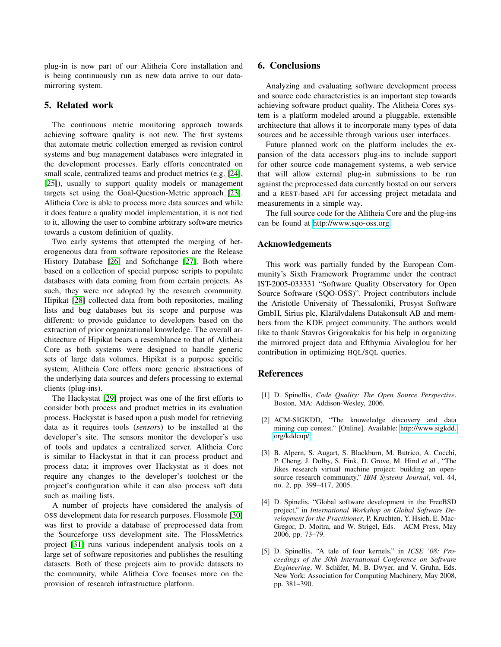plug-in is now part of our Alitheia Core installation and is being continuously run as new data arrive to our datamirroring system.

# 5. Related work

The continuous metric monitoring approach towards achieving software quality is not new. The first systems that automate metric collection emerged as revision control systems and bug management databases were integrated in the development processes. Early efforts concentrated on small scale, centralized teams and product metrics (e.g. [\[24\]](#page-9-18), [\[25\]](#page-9-19)), usually to support quality models or management targets set using the Goal-Question-Metric approach [\[23\]](#page-9-17). Alitheia Core is able to process more data sources and while it does feature a quality model implementation, it is not tied to it, allowing the user to combine arbitrary software metrics towards a custom definition of quality.

Two early systems that attempted the merging of heterogeneous data from software repositories are the Release History Database [\[26\]](#page-9-20) and Softchange [\[27\]](#page-9-21). Both where based on a collection of special purpose scripts to populate databases with data coming from from certain projects. As such, they were not adopted by the research community. Hipikat [\[28\]](#page-9-22) collected data from both repositories, mailing lists and bug databases but its scope and purpose was different: to provide guidance to developers based on the extraction of prior organizational knowledge. The overall architecture of Hipikat bears a resemblance to that of Alitheia Core as both systems were designed to handle generic sets of large data volumes. Hipikat is a purpose specific system; Alitheia Core offers more generic abstractions of the underlying data sources and defers processing to external clients (plug-ins).

The Hackystat [\[29\]](#page-9-23) project was one of the first efforts to consider both process and product metrics in its evaluation process. Hackystat is based upon a push model for retrieving data as it requires tools (*sensors*) to be installed at the developer's site. The sensors monitor the developer's use of tools and updates a centralized server. Alitheia Core is similar to Hackystat in that it can process product and process data; it improves over Hackystat as it does not require any changes to the developer's toolchest or the project's configuration while it can also process soft data such as mailing lists.

A number of projects have considered the analysis of OSS development data for research purposes. Flossmole [\[30\]](#page-9-24) was first to provide a database of preprocessed data from the Sourceforge OSS development site. The FlossMetrics project [\[31\]](#page-9-25) runs various independent analysis tools on a large set of software repositories and publishes the resulting datasets. Both of these projects aim to provide datasets to the community, while Alitheia Core focuses more on the provision of research infrastructure platform.

# 6. Conclusions

Analyzing and evaluating software development process and source code characteristics is an important step towards achieving software product quality. The Alitheia Cores system is a platform modeled around a pluggable, extensible architecture that allows it to incorporate many types of data sources and be accessible through various user interfaces.

Future planned work on the platform includes the expansion of the data accessors plug-ins to include support for other source code management systems, a web service that will allow external plug-in submissions to be run against the preprocessed data currently hosted on our servers and a REST-based API for accessing project metadata and measurements in a simple way.

The full source code for the Alitheia Core and the plug-ins can be found at [http://www.sqo-oss.org.](http://www.sqo-oss.org)

#### Acknowledgements

This work was partially funded by the European Community's Sixth Framework Programme under the contract IST-2005-033331 "Software Quality Observatory for Open Source Software (SQO-OSS)". Project contributors include the Aristotle University of Thessaloniki, Prosyst Software GmbH, Sirius plc, Klarälvdalens Datakonsult AB and members from the KDE project community. The authors would like to thank Stavros Grigorakakis for his help in organizing the mirrored project data and Efthymia Aivaloglou for her contribution in optimizing HQL/SQL queries.

# References

- <span id="page-8-0"></span>[1] D. Spinellis, *Code Quality: The Open Source Perspective*. Boston, MA: Addison-Wesley, 2006.
- <span id="page-8-1"></span>[2] ACM-SIGKDD, "The knoweledge discovery and data mining cup contest." [Online]. Available: [http://www.sigkdd.](http://www.sigkdd.org/kddcup/) [org/kddcup/](http://www.sigkdd.org/kddcup/)
- <span id="page-8-2"></span>[3] B. Alpern, S. Augart, S. Blackburn, M. Butrico, A. Cocchi, P. Cheng, J. Dolby, S. Fink, D. Grove, M. Hind *et al.*, "The Jikes research virtual machine project: building an opensource research community," *IBM Systems Journal*, vol. 44, no. 2, pp. 399–417, 2005.
- <span id="page-8-3"></span>[4] D. Spinelis, "Global software development in the FreeBSD project," in *International Workshop on Global Software Development for the Practitioner*, P. Kruchten, Y. Hsieh, E. Mac-Gregor, D. Moitra, and W. Strigel, Eds. ACM Press, May 2006, pp. 73–79.
- <span id="page-8-4"></span>[5] D. Spinellis, "A tale of four kernels," in *ICSE '08: Proceedings of the 30th International Conference on Software Engineering*, W. Schäfer, M. B. Dwyer, and V. Gruhn, Eds. New York: Association for Computing Machinery, May 2008, pp. 381–390.